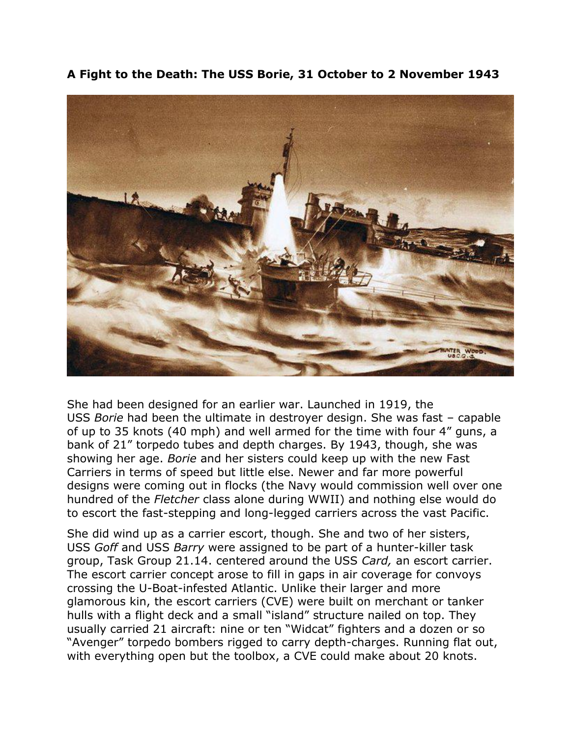

**A Fight to the Death: The USS Borie, 31 October to 2 November 1943**

She had been designed for an earlier war. Launched in 1919, the USS *Borie* had been the ultimate in destroyer design. She was fast – capable of up to 35 knots (40 mph) and well armed for the time with four 4" guns, a bank of 21" torpedo tubes and depth charges. By 1943, though, she was showing her age. *Borie* and her sisters could keep up with the new Fast Carriers in terms of speed but little else. Newer and far more powerful designs were coming out in flocks (the Navy would commission well over one hundred of the *Fletcher* class alone during WWII) and nothing else would do to escort the fast-stepping and long-legged carriers across the vast Pacific.

She did wind up as a carrier escort, though. She and two of her sisters, USS *Goff* and USS *Barry* were assigned to be part of a hunter-killer task group, Task Group 21.14. centered around the USS *Card,* an escort carrier. The escort carrier concept arose to fill in gaps in air coverage for convoys crossing the U-Boat-infested Atlantic. Unlike their larger and more glamorous kin, the escort carriers (CVE) were built on merchant or tanker hulls with a flight deck and a small "island" structure nailed on top. They usually carried 21 aircraft: nine or ten "Widcat" fighters and a dozen or so "Avenger" torpedo bombers rigged to carry depth-charges. Running flat out, with everything open but the toolbox, a CVE could make about 20 knots.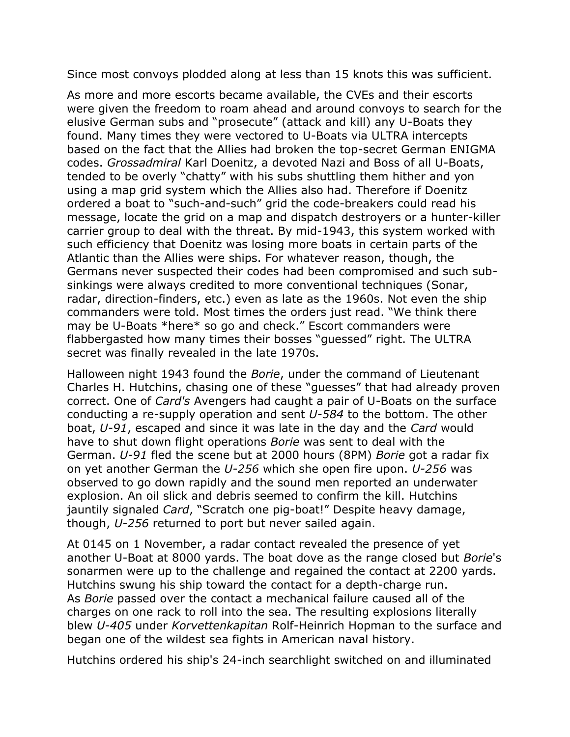Since most convoys plodded along at less than 15 knots this was sufficient.

As more and more escorts became available, the CVEs and their escorts were given the freedom to roam ahead and around convoys to search for the elusive German subs and "prosecute" (attack and kill) any U-Boats they found. Many times they were vectored to U-Boats via ULTRA intercepts based on the fact that the Allies had broken the top-secret German ENIGMA codes. *Grossadmiral* Karl Doenitz, a devoted Nazi and Boss of all U-Boats, tended to be overly "chatty" with his subs shuttling them hither and yon using a map grid system which the Allies also had. Therefore if Doenitz ordered a boat to "such-and-such" grid the code-breakers could read his message, locate the grid on a map and dispatch destroyers or a hunter-killer carrier group to deal with the threat. By mid-1943, this system worked with such efficiency that Doenitz was losing more boats in certain parts of the Atlantic than the Allies were ships. For whatever reason, though, the Germans never suspected their codes had been compromised and such subsinkings were always credited to more conventional techniques (Sonar, radar, direction-finders, etc.) even as late as the 1960s. Not even the ship commanders were told. Most times the orders just read. "We think there may be U-Boats \*here\* so go and check." Escort commanders were flabbergasted how many times their bosses "guessed" right. The ULTRA secret was finally revealed in the late 1970s.

Halloween night 1943 found the *Borie*, under the command of Lieutenant Charles H. Hutchins, chasing one of these "guesses" that had already proven correct. One of *Card's* Avengers had caught a pair of U-Boats on the surface conducting a re-supply operation and sent *U-584* to the bottom. The other boat, *U-91*, escaped and since it was late in the day and the *Card* would have to shut down flight operations *Borie* was sent to deal with the German. *U-91* fled the scene but at 2000 hours (8PM) *Borie* got a radar fix on yet another German the *U-256* which she open fire upon. *U-256* was observed to go down rapidly and the sound men reported an underwater explosion. An oil slick and debris seemed to confirm the kill. Hutchins jauntily signaled *Card*, "Scratch one pig-boat!" Despite heavy damage, though, *U-256* returned to port but never sailed again.

At 0145 on 1 November, a radar contact revealed the presence of yet another U-Boat at 8000 yards. The boat dove as the range closed but *Borie*'s sonarmen were up to the challenge and regained the contact at 2200 yards. Hutchins swung his ship toward the contact for a depth-charge run. As *Borie* passed over the contact a mechanical failure caused all of the charges on one rack to roll into the sea. The resulting explosions literally blew *U-405* under *Korvettenkapitan* Rolf-Heinrich Hopman to the surface and began one of the wildest sea fights in American naval history.

Hutchins ordered his ship's 24-inch searchlight switched on and illuminated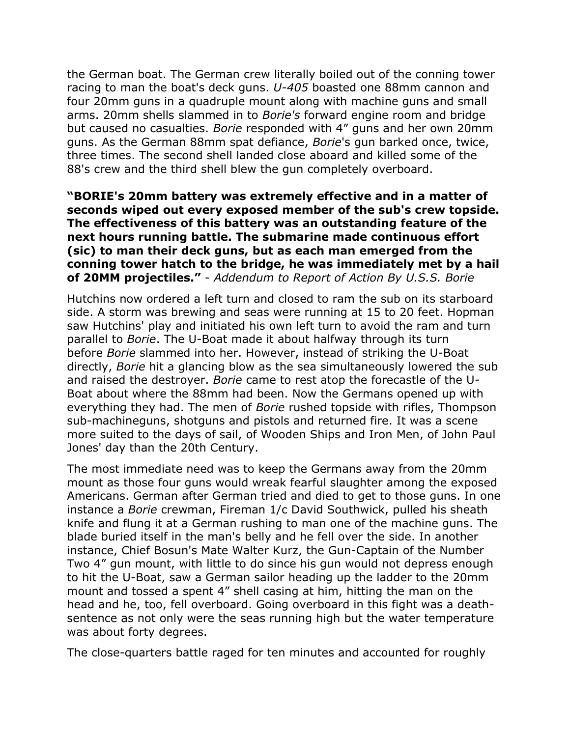the German boat. The German crew literally boiled out of the conning tower racing to man the boat's deck guns. *U-405* boasted one 88mm cannon and four 20mm guns in a quadruple mount along with machine guns and small arms. 20mm shells slammed in to *Borie's* forward engine room and bridge but caused no casualties. *Borie* responded with 4" guns and her own 20mm guns. As the German 88mm spat defiance, *Borie*'s gun barked once, twice, three times. The second shell landed close aboard and killed some of the 88's crew and the third shell blew the gun completely overboard.

**"BORIE's 20mm battery was extremely effective and in a matter of seconds wiped out every exposed member of the sub's crew topside. The effectiveness of this battery was an outstanding feature of the next hours running battle. The submarine made continuous effort (sic) to man their deck guns, but as each man emerged from the conning tower hatch to the bridge, he was immediately met by a hail of 20MM projectiles."** - *Addendum to Report of Action By U.S.S. Borie*

Hutchins now ordered a left turn and closed to ram the sub on its starboard side. A storm was brewing and seas were running at 15 to 20 feet. Hopman saw Hutchins' play and initiated his own left turn to avoid the ram and turn parallel to *Borie*. The U-Boat made it about halfway through its turn before *Borie* slammed into her. However, instead of striking the U-Boat directly, *Borie* hit a glancing blow as the sea simultaneously lowered the sub and raised the destroyer. *Borie* came to rest atop the forecastle of the U-Boat about where the 88mm had been. Now the Germans opened up with everything they had. The men of *Borie* rushed topside with rifles, Thompson sub-machineguns, shotguns and pistols and returned fire. It was a scene more suited to the days of sail, of Wooden Ships and Iron Men, of John Paul Jones' day than the 20th Century.

The most immediate need was to keep the Germans away from the 20mm mount as those four guns would wreak fearful slaughter among the exposed Americans. German after German tried and died to get to those guns. In one instance a *Borie* crewman, Fireman 1/c David Southwick, pulled his sheath knife and flung it at a German rushing to man one of the machine guns. The blade buried itself in the man's belly and he fell over the side. In another instance, Chief Bosun's Mate Walter Kurz, the Gun-Captain of the Number Two 4" gun mount, with little to do since his gun would not depress enough to hit the U-Boat, saw a German sailor heading up the ladder to the 20mm mount and tossed a spent 4" shell casing at him, hitting the man on the head and he, too, fell overboard. Going overboard in this fight was a deathsentence as not only were the seas running high but the water temperature was about forty degrees.

The close-quarters battle raged for ten minutes and accounted for roughly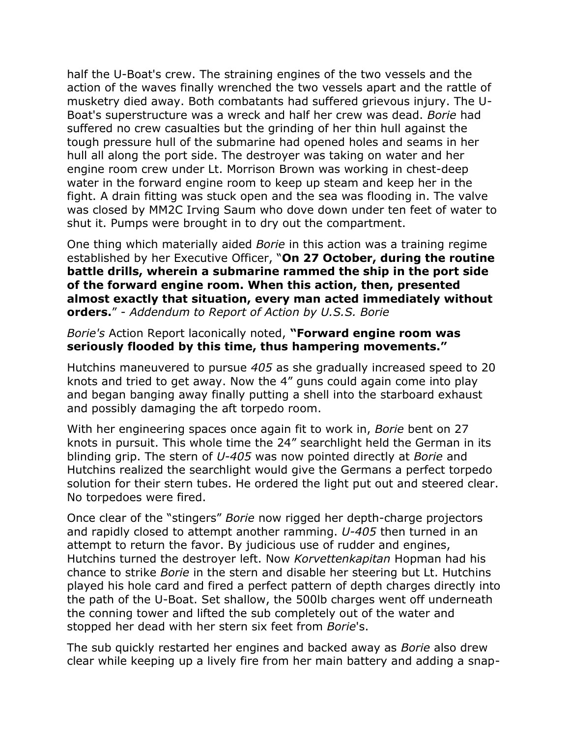half the U-Boat's crew. The straining engines of the two vessels and the action of the waves finally wrenched the two vessels apart and the rattle of musketry died away. Both combatants had suffered grievous injury. The U-Boat's superstructure was a wreck and half her crew was dead. *Borie* had suffered no crew casualties but the grinding of her thin hull against the tough pressure hull of the submarine had opened holes and seams in her hull all along the port side. The destroyer was taking on water and her engine room crew under Lt. Morrison Brown was working in chest-deep water in the forward engine room to keep up steam and keep her in the fight. A drain fitting was stuck open and the sea was flooding in. The valve was closed by MM2C Irving Saum who dove down under ten feet of water to shut it. Pumps were brought in to dry out the compartment.

One thing which materially aided *Borie* in this action was a training regime established by her Executive Officer, "**On 27 October, during the routine battle drills, wherein a submarine rammed the ship in the port side of the forward engine room. When this action, then, presented almost exactly that situation, every man acted immediately without orders.**" - *Addendum to Report of Action by U.S.S. Borie*

## *Borie's* Action Report laconically noted, **"Forward engine room was seriously flooded by this time, thus hampering movements."**

Hutchins maneuvered to pursue *405* as she gradually increased speed to 20 knots and tried to get away. Now the 4" guns could again come into play and began banging away finally putting a shell into the starboard exhaust and possibly damaging the aft torpedo room.

With her engineering spaces once again fit to work in, *Borie* bent on 27 knots in pursuit. This whole time the 24" searchlight held the German in its blinding grip. The stern of *U-405* was now pointed directly at *Borie* and Hutchins realized the searchlight would give the Germans a perfect torpedo solution for their stern tubes. He ordered the light put out and steered clear. No torpedoes were fired.

Once clear of the "stingers" *Borie* now rigged her depth-charge projectors and rapidly closed to attempt another ramming. *U-405* then turned in an attempt to return the favor. By judicious use of rudder and engines, Hutchins turned the destroyer left. Now *Korvettenkapitan* Hopman had his chance to strike *Borie* in the stern and disable her steering but Lt. Hutchins played his hole card and fired a perfect pattern of depth charges directly into the path of the U-Boat. Set shallow, the 500lb charges went off underneath the conning tower and lifted the sub completely out of the water and stopped her dead with her stern six feet from *Borie*'s.

The sub quickly restarted her engines and backed away as *Borie* also drew clear while keeping up a lively fire from her main battery and adding a snap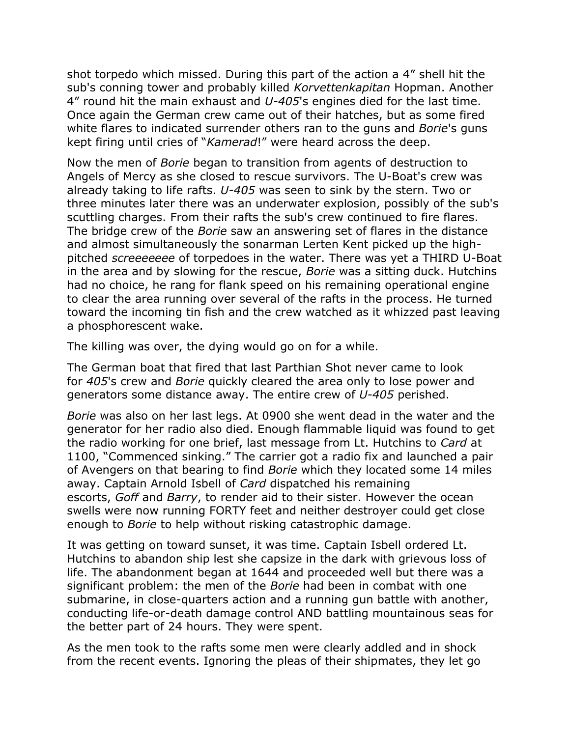shot torpedo which missed. During this part of the action a 4" shell hit the sub's conning tower and probably killed *Korvettenkapitan* Hopman. Another 4" round hit the main exhaust and *U-405*'s engines died for the last time. Once again the German crew came out of their hatches, but as some fired white flares to indicated surrender others ran to the guns and *Borie*'s guns kept firing until cries of "*Kamerad*!" were heard across the deep.

Now the men of *Borie* began to transition from agents of destruction to Angels of Mercy as she closed to rescue survivors. The U-Boat's crew was already taking to life rafts. *U-405* was seen to sink by the stern. Two or three minutes later there was an underwater explosion, possibly of the sub's scuttling charges. From their rafts the sub's crew continued to fire flares. The bridge crew of the *Borie* saw an answering set of flares in the distance and almost simultaneously the sonarman Lerten Kent picked up the highpitched *screeeeeee* of torpedoes in the water. There was yet a THIRD U-Boat in the area and by slowing for the rescue, *Borie* was a sitting duck. Hutchins had no choice, he rang for flank speed on his remaining operational engine to clear the area running over several of the rafts in the process. He turned toward the incoming tin fish and the crew watched as it whizzed past leaving a phosphorescent wake.

The killing was over, the dying would go on for a while.

The German boat that fired that last Parthian Shot never came to look for *405*'s crew and *Borie* quickly cleared the area only to lose power and generators some distance away. The entire crew of *U-405* perished.

*Borie* was also on her last legs. At 0900 she went dead in the water and the generator for her radio also died. Enough flammable liquid was found to get the radio working for one brief, last message from Lt. Hutchins to *Card* at 1100, "Commenced sinking." The carrier got a radio fix and launched a pair of Avengers on that bearing to find *Borie* which they located some 14 miles away. Captain Arnold Isbell of *Card* dispatched his remaining escorts, *Goff* and *Barry*, to render aid to their sister. However the ocean swells were now running FORTY feet and neither destroyer could get close enough to *Borie* to help without risking catastrophic damage.

It was getting on toward sunset, it was time. Captain Isbell ordered Lt. Hutchins to abandon ship lest she capsize in the dark with grievous loss of life. The abandonment began at 1644 and proceeded well but there was a significant problem: the men of the *Borie* had been in combat with one submarine, in close-quarters action and a running gun battle with another, conducting life-or-death damage control AND battling mountainous seas for the better part of 24 hours. They were spent.

As the men took to the rafts some men were clearly addled and in shock from the recent events. Ignoring the pleas of their shipmates, they let go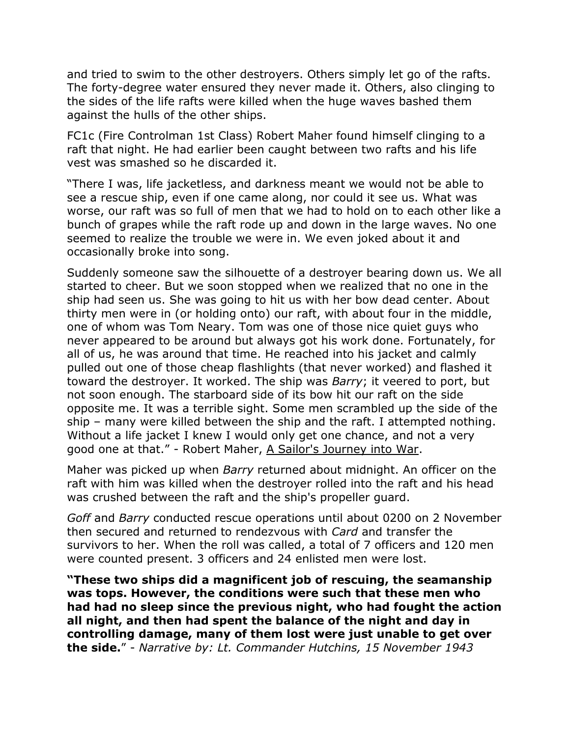and tried to swim to the other destroyers. Others simply let go of the rafts. The forty-degree water ensured they never made it. Others, also clinging to the sides of the life rafts were killed when the huge waves bashed them against the hulls of the other ships.

FC1c (Fire Controlman 1st Class) Robert Maher found himself clinging to a raft that night. He had earlier been caught between two rafts and his life vest was smashed so he discarded it.

"There I was, life jacketless, and darkness meant we would not be able to see a rescue ship, even if one came along, nor could it see us. What was worse, our raft was so full of men that we had to hold on to each other like a bunch of grapes while the raft rode up and down in the large waves. No one seemed to realize the trouble we were in. We even joked about it and occasionally broke into song.

Suddenly someone saw the silhouette of a destroyer bearing down us. We all started to cheer. But we soon stopped when we realized that no one in the ship had seen us. She was going to hit us with her bow dead center. About thirty men were in (or holding onto) our raft, with about four in the middle, one of whom was Tom Neary. Tom was one of those nice quiet guys who never appeared to be around but always got his work done. Fortunately, for all of us, he was around that time. He reached into his jacket and calmly pulled out one of those cheap flashlights (that never worked) and flashed it toward the destroyer. It worked. The ship was *Barry*; it veered to port, but not soon enough. The starboard side of its bow hit our raft on the side opposite me. It was a terrible sight. Some men scrambled up the side of the ship – many were killed between the ship and the raft. I attempted nothing. Without a life jacket I knew I would only get one chance, and not a very good one at that." - Robert Maher, A Sailor's Journey into War.

Maher was picked up when *Barry* returned about midnight. An officer on the raft with him was killed when the destroyer rolled into the raft and his head was crushed between the raft and the ship's propeller guard.

*Goff* and *Barry* conducted rescue operations until about 0200 on 2 November then secured and returned to rendezvous with *Card* and transfer the survivors to her. When the roll was called, a total of 7 officers and 120 men were counted present. 3 officers and 24 enlisted men were lost.

**"These two ships did a magnificent job of rescuing, the seamanship was tops. However, the conditions were such that these men who had had no sleep since the previous night, who had fought the action all night, and then had spent the balance of the night and day in controlling damage, many of them lost were just unable to get over the side.**" - *Narrative by: Lt. Commander Hutchins, 15 November 1943*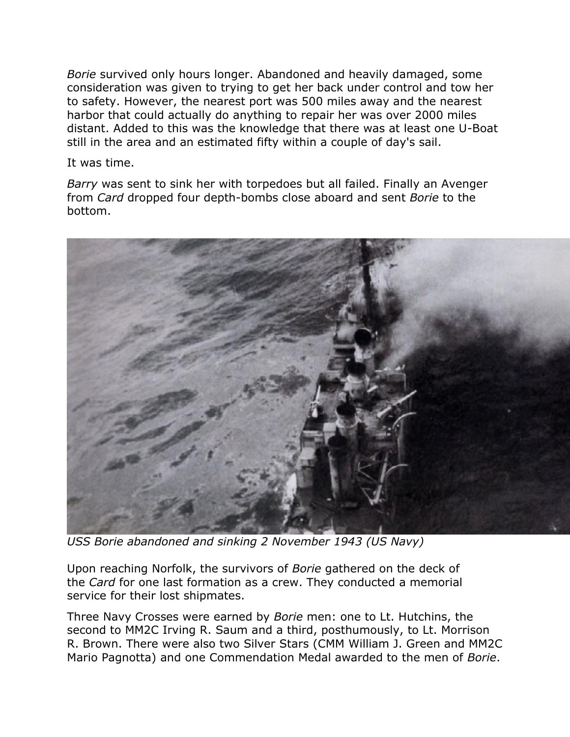*Borie* survived only hours longer. Abandoned and heavily damaged, some consideration was given to trying to get her back under control and tow her to safety. However, the nearest port was 500 miles away and the nearest harbor that could actually do anything to repair her was over 2000 miles distant. Added to this was the knowledge that there was at least one U-Boat still in the area and an estimated fifty within a couple of day's sail.

It was time.

*Barry* was sent to sink her with torpedoes but all failed. Finally an Avenger from *Card* dropped four depth-bombs close aboard and sent *Borie* to the bottom.



*USS Borie abandoned and sinking 2 November 1943 (US Navy)*

Upon reaching Norfolk, the survivors of *Borie* gathered on the deck of the *Card* for one last formation as a crew. They conducted a memorial service for their lost shipmates.

Three Navy Crosses were earned by *Borie* men: one to Lt. Hutchins, the second to MM2C Irving R. Saum and a third, posthumously, to Lt. Morrison R. Brown. There were also two Silver Stars (CMM William J. Green and MM2C Mario Pagnotta) and one Commendation Medal awarded to the men of *Borie*.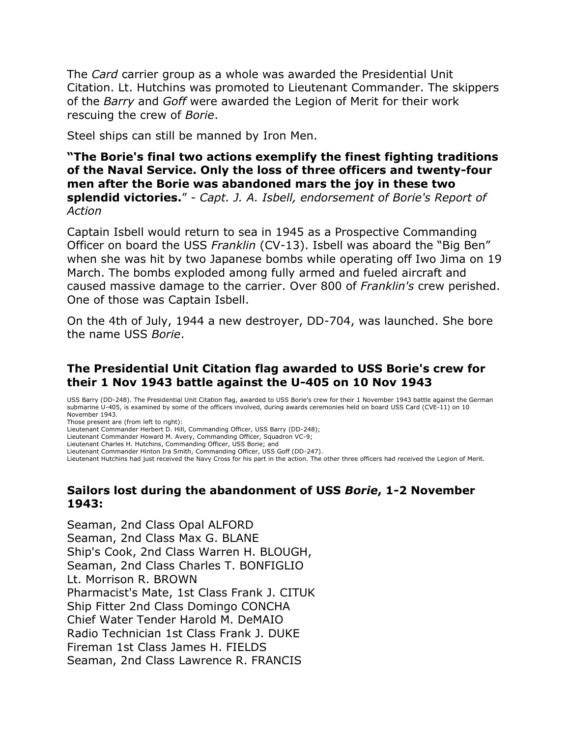The *Card* carrier group as a whole was awarded the Presidential Unit Citation. Lt. Hutchins was promoted to Lieutenant Commander. The skippers of the *Barry* and *Goff* were awarded the Legion of Merit for their work rescuing the crew of *Borie*.

Steel ships can still be manned by Iron Men.

**"The Borie's final two actions exemplify the finest fighting traditions of the Naval Service. Only the loss of three officers and twenty-four men after the Borie was abandoned mars the joy in these two splendid victories.**" - *Capt. J. A. Isbell, endorsement of Borie's Report of Action*

Captain Isbell would return to sea in 1945 as a Prospective Commanding Officer on board the USS *Franklin* (CV-13). Isbell was aboard the "Big Ben" when she was hit by two Japanese bombs while operating off Iwo Jima on 19 March. The bombs exploded among fully armed and fueled aircraft and caused massive damage to the carrier. Over 800 of *Franklin's* crew perished. One of those was Captain Isbell.

On the 4th of July, 1944 a new destroyer, DD-704, was launched. She bore the name USS *Borie*.

## **The Presidential Unit Citation flag awarded to USS Borie's crew for their 1 Nov 1943 battle against the U-405 on 10 Nov 1943**

USS Barry (DD-248). The Presidential Unit Citation flag, awarded to USS Borie's crew for their 1 November 1943 battle against the German submarine U-405, is examined by some of the officers involved, during awards ceremonies held on board USS Card (CVE-11) on 10 November 1943.

Those present are (from left to right):

Lieutenant Commander Herbert D. Hill, Commanding Officer, USS Barry (DD-248);

Lieutenant Commander Howard M. Avery, Commanding Officer, Squadron VC-9;

Lieutenant Charles H. Hutchins, Commanding Officer, USS Borie; and

Lieutenant Commander Hinton Ira Smith, Commanding Officer, USS Goff (DD-247). Lieutenant Hutchins had just received the Navy Cross for his part in the action. The other three officers had received the Legion of Merit.

## **Sailors lost during the abandonment of USS** *Borie***, 1-2 November 1943:**

Seaman, 2nd Class Opal ALFORD Seaman, 2nd Class Max G. BLANE Ship's Cook, 2nd Class Warren H. BLOUGH, Seaman, 2nd Class Charles T. BONFIGLIO Lt. Morrison R. BROWN Pharmacist's Mate, 1st Class Frank J. CITUK Ship Fitter 2nd Class Domingo CONCHA Chief Water Tender Harold M. DeMAIO Radio Technician 1st Class Frank J. DUKE Fireman 1st Class James H. FIELDS Seaman, 2nd Class Lawrence R. FRANCIS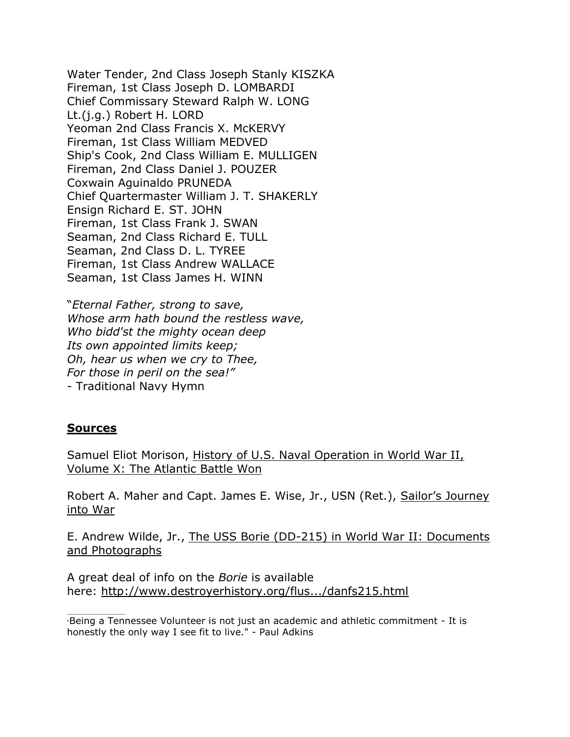Water Tender, 2nd Class Joseph Stanly KISZKA Fireman, 1st Class Joseph D. LOMBARDI Chief Commissary Steward Ralph W. LONG Lt.(j.g.) Robert H. LORD Yeoman 2nd Class Francis X. McKERVY Fireman, 1st Class William MEDVED Ship's Cook, 2nd Class William E. MULLIGEN Fireman, 2nd Class Daniel J. POUZER Coxwain Aguinaldo PRUNEDA Chief Quartermaster William J. T. SHAKERLY Ensign Richard E. ST. JOHN Fireman, 1st Class Frank J. SWAN Seaman, 2nd Class Richard E. TULL Seaman, 2nd Class D. L. TYREE Fireman, 1st Class Andrew WALLACE Seaman, 1st Class James H. WINN

"*Eternal Father, strong to save, Whose arm hath bound the restless wave, Who bidd'st the mighty ocean deep Its own appointed limits keep; Oh, hear us when we cry to Thee, For those in peril on the sea!"* - Traditional Navy Hymn

## **Sources**

 $\mathcal{L}=\mathcal{L}=\mathcal{L}=\mathcal{L}=\mathcal{L}=\mathcal{L}=\mathcal{L}=\mathcal{L}=\mathcal{L}=\mathcal{L}=\mathcal{L}=\mathcal{L}=\mathcal{L}=\mathcal{L}=\mathcal{L}=\mathcal{L}=\mathcal{L}=\mathcal{L}=\mathcal{L}=\mathcal{L}=\mathcal{L}=\mathcal{L}=\mathcal{L}=\mathcal{L}=\mathcal{L}=\mathcal{L}=\mathcal{L}=\mathcal{L}=\mathcal{L}=\mathcal{L}=\mathcal{L}=\mathcal{L}=\mathcal{L}=\mathcal{L}=\mathcal{L}=\mathcal{L}=\mathcal{$ 

Samuel Eliot Morison, History of U.S. Naval Operation in World War II, Volume X: The Atlantic Battle Won

Robert A. Maher and Capt. James E. Wise, Jr., USN (Ret.), Sailor's Journey into War

E. Andrew Wilde, Jr., The USS Borie (DD-215) in World War II: Documents and Photographs

A great deal of info on the *Borie* is available here: [http://www.destroyerhistory.org/flus.../danfs215.html](http://www.destroyerhistory.org/flushdeck/ussborie/danfs215.html)

"Being a Tennessee Volunteer is not just an academic and athletic commitment - It is honestly the only way I see fit to live." - Paul Adkins